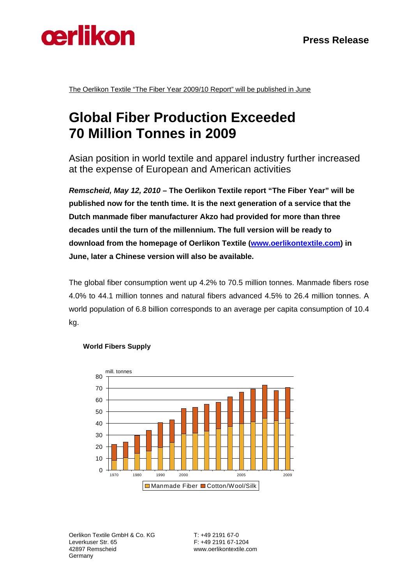



The Oerlikon Textile "The Fiber Year 2009/10 Report" will be published in June

# **Global Fiber Production Exceeded 70 Million Tonnes in 2009**

Asian position in world textile and apparel industry further increased at the expense of European and American activities

*Remscheid, May 12, 2010* **– The Oerlikon Textile report "The Fiber Year" will be published now for the tenth time. It is the next generation of a service that the Dutch manmade fiber manufacturer Akzo had provided for more than three decades until the turn of the millennium. The full version will be ready to download from the homepage of Oerlikon Textile (www.oerlikontextile.com) in June, later a Chinese version will also be available.** 

The global fiber consumption went up 4.2% to 70.5 million tonnes. Manmade fibers rose 4.0% to 44.1 million tonnes and natural fibers advanced 4.5% to 26.4 million tonnes. A world population of 6.8 billion corresponds to an average per capita consumption of 10.4 kg.



#### **World Fibers Supply**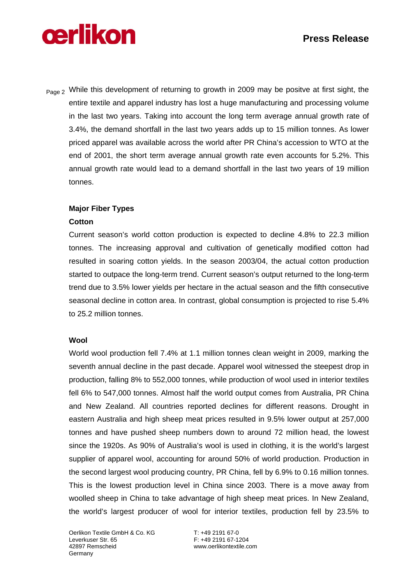# **Press Release**

# **cerlikon**

Page 2 While this development of returning to growth in 2009 may be positve at first sight, the entire textile and apparel industry has lost a huge manufacturing and processing volume in the last two years. Taking into account the long term average annual growth rate of 3.4%, the demand shortfall in the last two years adds up to 15 million tonnes. As lower priced apparel was available across the world after PR China's accession to WTO at the end of 2001, the short term average annual growth rate even accounts for 5.2%. This annual growth rate would lead to a demand shortfall in the last two years of 19 million tonnes.

### **Major Fiber Types**

#### **Cotton**

Current season's world cotton production is expected to decline 4.8% to 22.3 million tonnes. The increasing approval and cultivation of genetically modified cotton had resulted in soaring cotton yields. In the season 2003/04, the actual cotton production started to outpace the long-term trend. Current season's output returned to the long-term trend due to 3.5% lower yields per hectare in the actual season and the fifth consecutive seasonal decline in cotton area. In contrast, global consumption is projected to rise 5.4% to 25.2 million tonnes.

#### **Wool**

World wool production fell 7.4% at 1.1 million tonnes clean weight in 2009, marking the seventh annual decline in the past decade. Apparel wool witnessed the steepest drop in production, falling 8% to 552,000 tonnes, while production of wool used in interior textiles fell 6% to 547,000 tonnes. Almost half the world output comes from Australia, PR China and New Zealand. All countries reported declines for different reasons. Drought in eastern Australia and high sheep meat prices resulted in 9.5% lower output at 257,000 tonnes and have pushed sheep numbers down to around 72 million head, the lowest since the 1920s. As 90% of Australia's wool is used in clothing, it is the world's largest supplier of apparel wool, accounting for around 50% of world production. Production in the second largest wool producing country, PR China, fell by 6.9% to 0.16 million tonnes. This is the lowest production level in China since 2003. There is a move away from woolled sheep in China to take advantage of high sheep meat prices. In New Zealand, the world's largest producer of wool for interior textiles, production fell by 23.5% to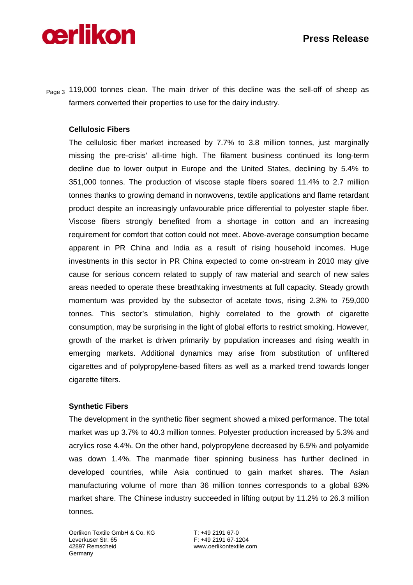# **cerlikon**

Page 3 119,000 tonnes clean. The main driver of this decline was the sell-off of sheep as farmers converted their properties to use for the dairy industry.

### **Cellulosic Fibers**

The cellulosic fiber market increased by 7.7% to 3.8 million tonnes, just marginally missing the pre-crisis' all-time high. The filament business continued its long-term decline due to lower output in Europe and the United States, declining by 5.4% to 351,000 tonnes. The production of viscose staple fibers soared 11.4% to 2.7 million tonnes thanks to growing demand in nonwovens, textile applications and flame retardant product despite an increasingly unfavourable price differential to polyester staple fiber. Viscose fibers strongly benefited from a shortage in cotton and an increasing requirement for comfort that cotton could not meet. Above-average consumption became apparent in PR China and India as a result of rising household incomes. Huge investments in this sector in PR China expected to come on-stream in 2010 may give cause for serious concern related to supply of raw material and search of new sales areas needed to operate these breathtaking investments at full capacity. Steady growth momentum was provided by the subsector of acetate tows, rising 2.3% to 759,000 tonnes. This sector's stimulation, highly correlated to the growth of cigarette consumption, may be surprising in the light of global efforts to restrict smoking. However, growth of the market is driven primarily by population increases and rising wealth in emerging markets. Additional dynamics may arise from substitution of unfiltered cigarettes and of polypropylene-based filters as well as a marked trend towards longer cigarette filters.

#### **Synthetic Fibers**

The development in the synthetic fiber segment showed a mixed performance. The total market was up 3.7% to 40.3 million tonnes. Polyester production increased by 5.3% and acrylics rose 4.4%. On the other hand, polypropylene decreased by 6.5% and polyamide was down 1.4%. The manmade fiber spinning business has further declined in developed countries, while Asia continued to gain market shares. The Asian manufacturing volume of more than 36 million tonnes corresponds to a global 83% market share. The Chinese industry succeeded in lifting output by 11.2% to 26.3 million tonnes.

Oerlikon Textile GmbH & Co. KG T: +49 2191 67-0 Leverkuser Str. 65 F: +49 2191 67-1204<br>42897 Remscheid Martin Marty Awww.oerlikontextile.com Germany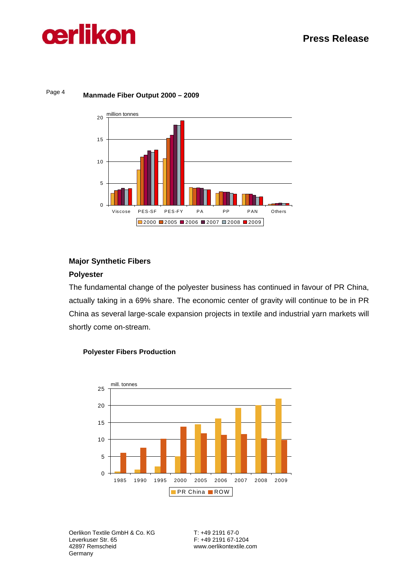



#### Page 4 **Manmade Fiber Output 2000 – 2009**

#### **Major Synthetic Fibers**

#### **Polyester**

The fundamental change of the polyester business has continued in favour of PR China, actually taking in a 69% share. The economic center of gravity will continue to be in PR China as several large-scale expansion projects in textile and industrial yarn markets will shortly come on-stream.



#### **Polyester Fibers Production**

Oerlikon Textile GmbH & Co. KG T: +49 2191 67-0 Leverkuser Str. 65 **F:** +49 2191 67-1204<br>42897 Remscheid **Firm and Street Street Western Automobile Germany**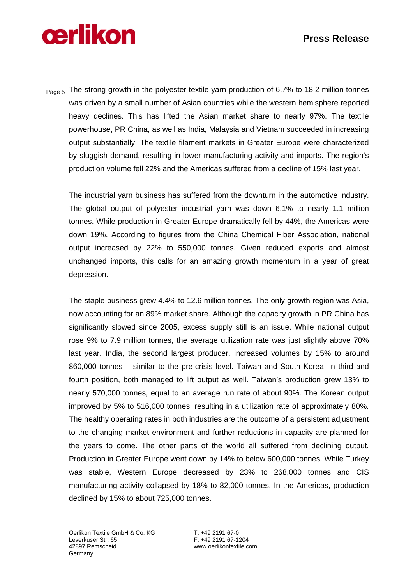## **Press Release**

# **cerlikon**

Page 5 The strong growth in the polyester textile yarn production of 6.7% to 18.2 million tonnes was driven by a small number of Asian countries while the western hemisphere reported heavy declines. This has lifted the Asian market share to nearly 97%. The textile powerhouse, PR China, as well as India, Malaysia and Vietnam succeeded in increasing output substantially. The textile filament markets in Greater Europe were characterized by sluggish demand, resulting in lower manufacturing activity and imports. The region's production volume fell 22% and the Americas suffered from a decline of 15% last year.

The industrial yarn business has suffered from the downturn in the automotive industry. The global output of polyester industrial yarn was down 6.1% to nearly 1.1 million tonnes. While production in Greater Europe dramatically fell by 44%, the Americas were down 19%. According to figures from the China Chemical Fiber Association, national output increased by 22% to 550,000 tonnes. Given reduced exports and almost unchanged imports, this calls for an amazing growth momentum in a year of great depression.

The staple business grew 4.4% to 12.6 million tonnes. The only growth region was Asia, now accounting for an 89% market share. Although the capacity growth in PR China has significantly slowed since 2005, excess supply still is an issue. While national output rose 9% to 7.9 million tonnes, the average utilization rate was just slightly above 70% last year. India, the second largest producer, increased volumes by 15% to around 860,000 tonnes – similar to the pre-crisis level. Taiwan and South Korea, in third and fourth position, both managed to lift output as well. Taiwan's production grew 13% to nearly 570,000 tonnes, equal to an average run rate of about 90%. The Korean output improved by 5% to 516,000 tonnes, resulting in a utilization rate of approximately 80%. The healthy operating rates in both industries are the outcome of a persistent adjustment to the changing market environment and further reductions in capacity are planned for the years to come. The other parts of the world all suffered from declining output. Production in Greater Europe went down by 14% to below 600,000 tonnes. While Turkey was stable, Western Europe decreased by 23% to 268,000 tonnes and CIS manufacturing activity collapsed by 18% to 82,000 tonnes. In the Americas, production declined by 15% to about 725,000 tonnes.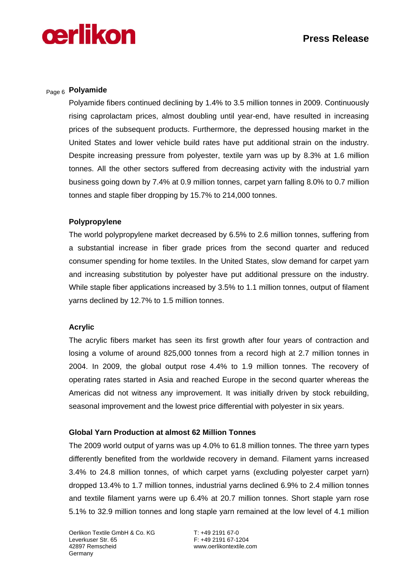

### Page 6 **Polyamide**

Polyamide fibers continued declining by 1.4% to 3.5 million tonnes in 2009. Continuously rising caprolactam prices, almost doubling until year-end, have resulted in increasing prices of the subsequent products. Furthermore, the depressed housing market in the United States and lower vehicle build rates have put additional strain on the industry. Despite increasing pressure from polyester, textile yarn was up by 8.3% at 1.6 million tonnes. All the other sectors suffered from decreasing activity with the industrial yarn business going down by 7.4% at 0.9 million tonnes, carpet yarn falling 8.0% to 0.7 million tonnes and staple fiber dropping by 15.7% to 214,000 tonnes.

#### **Polypropylene**

The world polypropylene market decreased by 6.5% to 2.6 million tonnes, suffering from a substantial increase in fiber grade prices from the second quarter and reduced consumer spending for home textiles. In the United States, slow demand for carpet yarn and increasing substitution by polyester have put additional pressure on the industry. While staple fiber applications increased by 3.5% to 1.1 million tonnes, output of filament yarns declined by 12.7% to 1.5 million tonnes.

#### **Acrylic**

The acrylic fibers market has seen its first growth after four years of contraction and losing a volume of around 825,000 tonnes from a record high at 2.7 million tonnes in 2004. In 2009, the global output rose 4.4% to 1.9 million tonnes. The recovery of operating rates started in Asia and reached Europe in the second quarter whereas the Americas did not witness any improvement. It was initially driven by stock rebuilding, seasonal improvement and the lowest price differential with polyester in six years.

#### **Global Yarn Production at almost 62 Million Tonnes**

The 2009 world output of yarns was up 4.0% to 61.8 million tonnes. The three yarn types differently benefited from the worldwide recovery in demand. Filament yarns increased 3.4% to 24.8 million tonnes, of which carpet yarns (excluding polyester carpet yarn) dropped 13.4% to 1.7 million tonnes, industrial yarns declined 6.9% to 2.4 million tonnes and textile filament yarns were up 6.4% at 20.7 million tonnes. Short staple yarn rose 5.1% to 32.9 million tonnes and long staple yarn remained at the low level of 4.1 million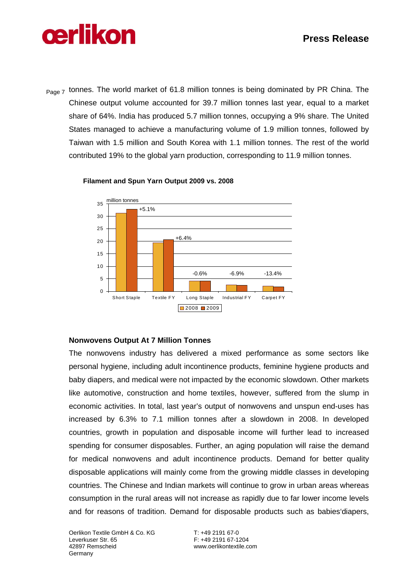

Page 7 tonnes. The world market of 61.8 million tonnes is being dominated by PR China. The Chinese output volume accounted for 39.7 million tonnes last year, equal to a market share of 64%. India has produced 5.7 million tonnes, occupying a 9% share. The United States managed to achieve a manufacturing volume of 1.9 million tonnes, followed by Taiwan with 1.5 million and South Korea with 1.1 million tonnes. The rest of the world contributed 19% to the global yarn production, corresponding to 11.9 million tonnes.



**Filament and Spun Yarn Output 2009 vs. 2008**

#### **Nonwovens Output At 7 Million Tonnes**

The nonwovens industry has delivered a mixed performance as some sectors like personal hygiene, including adult incontinence products, feminine hygiene products and baby diapers, and medical were not impacted by the economic slowdown. Other markets like automotive, construction and home textiles, however, suffered from the slump in economic activities. In total, last year's output of nonwovens and unspun end-uses has increased by 6.3% to 7.1 million tonnes after a slowdown in 2008. In developed countries, growth in population and disposable income will further lead to increased spending for consumer disposables. Further, an aging population will raise the demand for medical nonwovens and adult incontinence products. Demand for better quality disposable applications will mainly come from the growing middle classes in developing countries. The Chinese and Indian markets will continue to grow in urban areas whereas consumption in the rural areas will not increase as rapidly due to far lower income levels and for reasons of tradition. Demand for disposable products such as babies'diapers,